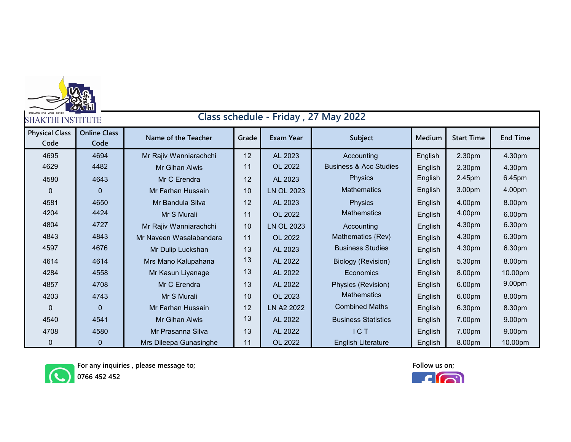| Class schedule - Friday, 27 May 2022<br><b>SHAKTHI INSTITUTE</b> |                             |                         |       |                   |                                   |         |                   |                 |
|------------------------------------------------------------------|-----------------------------|-------------------------|-------|-------------------|-----------------------------------|---------|-------------------|-----------------|
| <b>Physical Class</b><br>Code                                    | <b>Online Class</b><br>Code | Name of the Teacher     | Grade | <b>Exam Year</b>  | Subject                           | Medium  | <b>Start Time</b> | <b>End Time</b> |
| 4695                                                             | 4694                        | Mr Rajiv Wanniarachchi  | 12    | AL 2023           | Accounting                        | English | 2.30pm            | 4.30pm          |
| 4629                                                             | 4482                        | <b>Mr Gihan Alwis</b>   | 11    | OL 2022           | <b>Business &amp; Acc Studies</b> | English | 2.30pm            | 4.30pm          |
| 4580                                                             | 4643                        | Mr C Erendra            | 12    | AL 2023           | <b>Physics</b>                    | English | 2.45pm            | 6.45pm          |
| $\mathbf 0$                                                      | $\Omega$                    | Mr Farhan Hussain       | 10    | <b>LN OL 2023</b> | <b>Mathematics</b>                | English | 3.00pm            | 4.00pm          |
| 4581                                                             | 4650                        | Mr Bandula Silva        | 12    | AL 2023           | <b>Physics</b>                    | English | 4.00pm            | 8.00pm          |
| 4204                                                             | 4424                        | Mr S Murali             | 11    | OL 2022           | <b>Mathematics</b>                | English | 4.00pm            | 6.00pm          |
| 4804                                                             | 4727                        | Mr Rajiv Wanniarachchi  | 10    | <b>LN OL 2023</b> | Accounting                        | English | 4.30pm            | 6.30pm          |
| 4843                                                             | 4843                        | Mr Naveen Wasalabandara | 11    | OL 2022           | Mathematics {Rev}                 | English | 4.30pm            | 6.30pm          |
| 4597                                                             | 4676                        | Mr Dulip Luckshan       | 13    | AL 2023           | <b>Business Studies</b>           | English | 4.30pm            | 6.30pm          |
| 4614                                                             | 4614                        | Mrs Mano Kalupahana     | 13    | AL 2022           | <b>Biology (Revision)</b>         | English | 5.30pm            | 8.00pm          |
| 4284                                                             | 4558                        | Mr Kasun Liyanage       | 13    | AL 2022           | Economics                         | English | 8.00pm            | 10.00pm         |
| 4857                                                             | 4708                        | Mr C Erendra            | 13    | AL 2022           | Physics (Revision)                | English | 6.00pm            | 9.00pm          |
| 4203                                                             | 4743                        | Mr S Murali             | 10    | OL 2023           | <b>Mathematics</b>                | English | 6.00pm            | 8.00pm          |
| $\Omega$                                                         | $\Omega$                    | Mr Farhan Hussain       | 12    | LN A2 2022        | <b>Combined Maths</b>             | English | 6.30pm            | 8.30pm          |
| 4540                                                             | 4541                        | <b>Mr Gihan Alwis</b>   | 13    | AL 2022           | <b>Business Statistics</b>        | English | 7.00pm            | 9.00pm          |
| 4708                                                             | 4580                        | Mr Prasanna Silva       | 13    | AL 2022           | ICT                               | English | 7.00pm            | 9.00pm          |
| $\mathbf 0$                                                      | $\overline{0}$              | Mrs Dileepa Gunasinghe  | 11    | OL 2022           | <b>English Literature</b>         | English | 8.00pm            | 10.00pm         |



**For any inquiries , please message to;**

**Follow us on;**

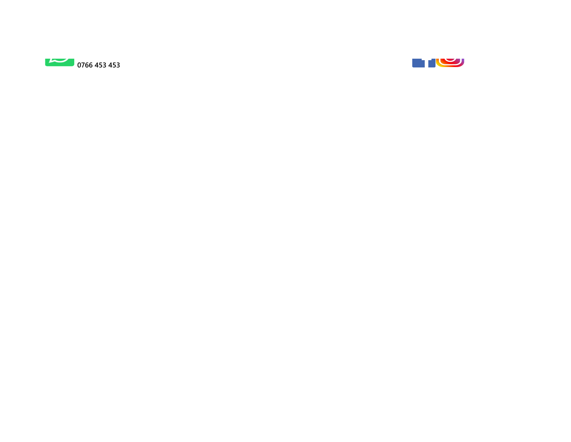